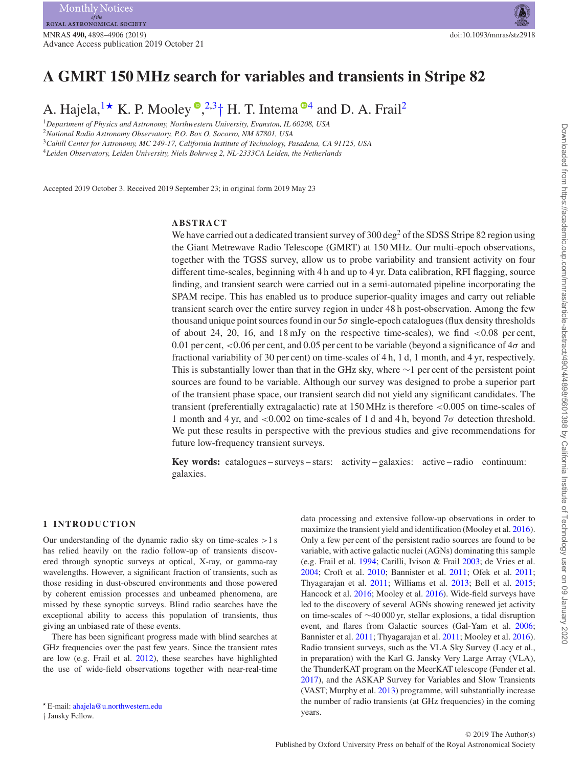# **A GMRT 150 MHz search for variables and transients in Stripe 82**

A. Hajela[,](http://orcid.org/0000-0002-2557-5180)  $1 \star K$  $1 \star K$ . P. Mooley  $\bullet$ ,  $2.3 \dagger H$  $2.3 \dagger H$ . T. Intema  $\bullet$ <sup>[4](#page-0-4)</sup> and D. A. Frail<sup>2</sup>

<span id="page-0-0"></span><sup>1</sup>*Department of Physics and Astronomy, Northwestern University, Evanston, IL 60208, USA*

<span id="page-0-2"></span><sup>2</sup>*National Radio Astronomy Observatory, P.O. Box O, Socorro, NM 87801, USA*

<span id="page-0-3"></span><sup>3</sup>*Cahill Center for Astronomy, MC 249-17, California Institute of Technology, Pasadena, CA 91125, USA*

<span id="page-0-4"></span><sup>4</sup>*Leiden Observatory, Leiden University, Niels Bohrweg 2, NL-2333CA Leiden, the Netherlands*

Accepted 2019 October 3. Received 2019 September 23; in original form 2019 May 23

## **ABSTRACT**

We have carried out a dedicated transient survey of 300 deg<sup>2</sup> of the SDSS Stripe 82 region using the Giant Metrewave Radio Telescope (GMRT) at 150 MHz. Our multi-epoch observations, together with the TGSS survey, allow us to probe variability and transient activity on four different time-scales, beginning with 4 h and up to 4 yr. Data calibration, RFI flagging, source finding, and transient search were carried out in a semi-automated pipeline incorporating the SPAM recipe. This has enabled us to produce superior-quality images and carry out reliable transient search over the entire survey region in under 48 h post-observation. Among the few thousand unique point sources found in our 5*σ* single-epoch catalogues (flux density thresholds of about 24, 20, 16, and 18 mJy on the respective time-scales), we find *<*0.08 per cent, 0.01 per cent, *<*0.06 per cent, and 0.05 per cent to be variable (beyond a significance of 4*σ* and fractional variability of 30 per cent) on time-scales of 4 h, 1 d, 1 month, and 4 yr, respectively. This is substantially lower than that in the GHz sky, where  $\sim$ 1 per cent of the persistent point sources are found to be variable. Although our survey was designed to probe a superior part of the transient phase space, our transient search did not yield any significant candidates. The transient (preferentially extragalactic) rate at 150 MHz is therefore *<*0.005 on time-scales of 1 month and 4 yr, and *<*0.002 on time-scales of 1 d and 4 h, beyond 7*σ* detection threshold. We put these results in perspective with the previous studies and give recommendations for future low-frequency transient surveys.

**Key words:** catalogues – surveys – stars: activity – galaxies: active – radio continuum: galaxies.

### **1 INTRODUCTION**

Our understanding of the dynamic radio sky on time-scales *>*1 s has relied heavily on the radio follow-up of transients discovered through synoptic surveys at optical, X-ray, or gamma-ray wavelengths. However, a significant fraction of transients, such as those residing in dust-obscured environments and those powered by coherent emission processes and unbeamed phenomena, are missed by these synoptic surveys. Blind radio searches have the exceptional ability to access this population of transients, thus giving an unbiased rate of these events.

<span id="page-0-1"></span>There has been significant progress made with blind searches at GHz frequencies over the past few years. Since the transient rates are low (e.g. Frail et al. [2012\)](#page-8-0), these searches have highlighted the use of wide-field observations together with near-real-time

data processing and extensive follow-up observations in order to maximize the transient yield and identification (Mooley et al. [2016\)](#page-8-1). Only a few per cent of the persistent radio sources are found to be variable, with active galactic nuclei (AGNs) dominating this sample (e.g. Frail et al. [1994;](#page-8-2) Carilli, Ivison & Frail [2003;](#page-8-3) de Vries et al. [2004;](#page-8-4) Croft et al. [2010;](#page-8-5) Bannister et al. [2011;](#page-8-6) Ofek et al. [2011;](#page-8-7) Thyagarajan et al. [2011;](#page-8-8) Williams et al. [2013;](#page-8-9) Bell et al. [2015;](#page-8-10) Hancock et al. [2016;](#page-8-11) Mooley et al. [2016\)](#page-8-1). Wide-field surveys have led to the discovery of several AGNs showing renewed jet activity on time-scales of ∼40 000 yr, stellar explosions, a tidal disruption event, and flares from Galactic sources (Gal-Yam et al. [2006;](#page-8-12) Bannister et al. [2011;](#page-8-6) Thyagarajan et al. [2011;](#page-8-8) Mooley et al. [2016\)](#page-8-1). Radio transient surveys, such as the VLA Sky Survey (Lacy et al., in preparation) with the Karl G. Jansky Very Large Array (VLA), the ThunderKAT program on the MeerKAT telescope (Fender et al. [2017\)](#page-8-13), and the ASKAP Survey for Variables and Slow Transients (VAST; Murphy et al. [2013\)](#page-8-14) programme, will substantially increase the number of radio transients (at GHz frequencies) in the coming years.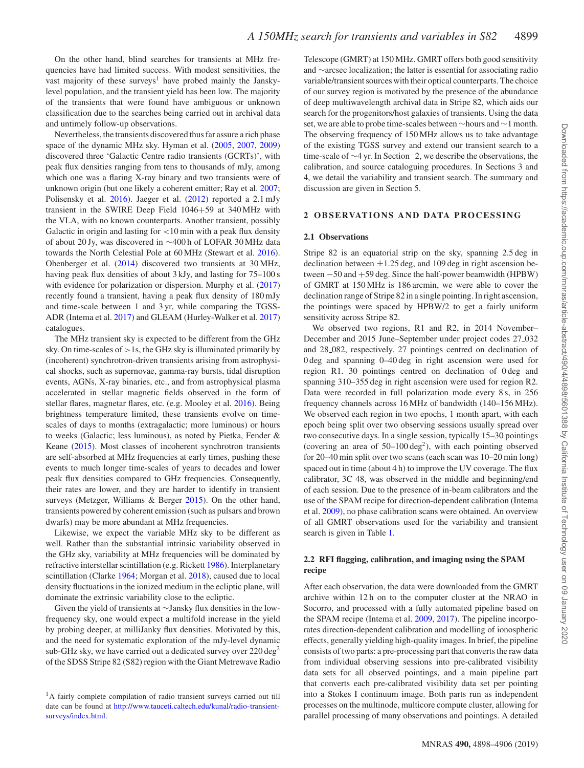On the other hand, blind searches for transients at MHz frequencies have had limited success. With modest sensitivities, the vast majority of these surveys<sup>1</sup> have probed mainly the Janskylevel population, and the transient yield has been low. The majority of the transients that were found have ambiguous or unknown classification due to the searches being carried out in archival data and untimely follow-up observations.

Nevertheless, the transients discovered thus far assure a rich phase space of the dynamic MHz sky. Hyman et al. [\(2005,](#page-8-15) [2007,](#page-8-16) [2009\)](#page-8-17) discovered three 'Galactic Centre radio transients (GCRTs)', with peak flux densities ranging from tens to thousands of mJy, among which one was a flaring X-ray binary and two transients were of unknown origin (but one likely a coherent emitter; Ray et al. [2007;](#page-8-18) Polisensky et al. [2016\)](#page-8-19). Jaeger et al. [\(2012\)](#page-8-20) reported a 2.1 mJy transient in the SWIRE Deep Field 1046+59 at 340 MHz with the VLA, with no known counterparts. Another transient, possibly Galactic in origin and lasting for *<*10 min with a peak flux density of about 20 Jy, was discovered in ∼400 h of LOFAR 30 MHz data towards the North Celestial Pole at 60 MHz (Stewart et al. [2016\)](#page-8-21). Obenberger et al. [\(2014\)](#page-8-22) discovered two transients at 30 MHz, having peak flux densities of about 3 kJy, and lasting for 75–100 s with evidence for polarization or dispersion. Murphy et al.  $(2017)$ recently found a transient, having a peak flux density of 180 mJy and time-scale between 1 and 3 yr, while comparing the TGSS-ADR (Intema et al. [2017\)](#page-8-24) and GLEAM (Hurley-Walker et al. [2017\)](#page-8-25) catalogues.

The MHz transient sky is expected to be different from the GHz sky. On time-scales of *>*1s, the GHz sky is illuminated primarily by (incoherent) synchrotron-driven transients arising from astrophysical shocks, such as supernovae, gamma-ray bursts, tidal disruption events, AGNs, X-ray binaries, etc., and from astrophysical plasma accelerated in stellar magnetic fields observed in the form of stellar flares, magnetar flares, etc. (e.g. Mooley et al. [2016\)](#page-8-1). Being brightness temperature limited, these transients evolve on timescales of days to months (extragalactic; more luminous) or hours to weeks (Galactic; less luminous), as noted by Pietka, Fender & Keane [\(2015\)](#page-8-26). Most classes of incoherent synchrotron transients are self-absorbed at MHz frequencies at early times, pushing these events to much longer time-scales of years to decades and lower peak flux densities compared to GHz frequencies. Consequently, their rates are lower, and they are harder to identify in transient surveys (Metzger, Williams & Berger [2015\)](#page-8-27). On the other hand, transients powered by coherent emission (such as pulsars and brown dwarfs) may be more abundant at MHz frequencies.

Likewise, we expect the variable MHz sky to be different as well. Rather than the substantial intrinsic variability observed in the GHz sky, variability at MHz frequencies will be dominated by refractive interstellar scintillation (e.g. Rickett [1986\)](#page-8-28). Interplanetary scintillation (Clarke [1964;](#page-8-29) Morgan et al. [2018\)](#page-8-30), caused due to local density fluctuations in the ionized medium in the ecliptic plane, will dominate the extrinsic variability close to the ecliptic.

Given the yield of transients at ∼Jansky flux densities in the lowfrequency sky, one would expect a multifold increase in the yield by probing deeper, at milliJanky flux densities. Motivated by this, and the need for systematic exploration of the mJy-level dynamic sub-GHz sky, we have carried out a dedicated survey over  $220 \text{ deg}^2$ of the SDSS Stripe 82 (S82) region with the Giant Metrewave Radio

Telescope (GMRT) at 150 MHz. GMRT offers both good sensitivity and ∼arcsec localization; the latter is essential for associating radio variable/transient sources with their optical counterparts. The choice of our survey region is motivated by the presence of the abundance of deep multiwavelength archival data in Stripe 82, which aids our search for the progenitors/host galaxies of transients. Using the data set, we are able to probe time-scales between ∼hours and ∼1 month. The observing frequency of 150 MHz allows us to take advantage of the existing TGSS survey and extend our transient search to a time-scale of ∼4 yr. In Section 2, we describe the observations, the calibration, and source cataloguing procedures. In Sections 3 and 4, we detail the variability and transient search. The summary and discussion are given in Section 5.

#### **2 OBSERVATIONS AND DATA PROCESSING**

#### **2.1 Observations**

Stripe 82 is an equatorial strip on the sky, spanning 2.5 deg in declination between  $\pm 1.25$  deg, and 109 deg in right ascension between −50 and +59 deg. Since the half-power beamwidth (HPBW) of GMRT at 150 MHz is 186 arcmin, we were able to cover the declination range of Stripe 82 in a single pointing. In right ascension, the pointings were spaced by HPBW/2 to get a fairly uniform sensitivity across Stripe 82.

We observed two regions, R1 and R2, in 2014 November– December and 2015 June–September under project codes 27 032 and 28 082, respectively. 27 pointings centred on declination of 0 deg and spanning 0–40 deg in right ascension were used for region R1. 30 pointings centred on declination of 0 deg and spanning 310–355 deg in right ascension were used for region R2. Data were recorded in full polarization mode every 8 s, in 256 frequency channels across 16 MHz of bandwidth (140–156 MHz). We observed each region in two epochs, 1 month apart, with each epoch being split over two observing sessions usually spread over two consecutive days. In a single session, typically 15–30 pointings (covering an area of  $50-100 \text{ deg}^2$ ), with each pointing observed for 20–40 min split over two scans (each scan was 10–20 min long) spaced out in time (about 4 h) to improve the UV coverage. The flux calibrator, 3C 48, was observed in the middle and beginning/end of each session. Due to the presence of in-beam calibrators and the use of the SPAM recipe for direction-dependent calibration (Intema et al. [2009\)](#page-8-31), no phase calibration scans were obtained. An overview of all GMRT observations used for the variability and transient search is given in Table [1.](#page-2-0)

#### **2.2 RFI flagging, calibration, and imaging using the SPAM recipe**

After each observation, the data were downloaded from the GMRT archive within 12 h on to the computer cluster at the NRAO in Socorro, and processed with a fully automated pipeline based on the SPAM recipe (Intema et al. [2009,](#page-8-31) [2017\)](#page-8-24). The pipeline incorporates direction-dependent calibration and modelling of ionospheric effects, generally yielding high-quality images. In brief, the pipeline consists of two parts: a pre-processing part that converts the raw data from individual observing sessions into pre-calibrated visibility data sets for all observed pointings, and a main pipeline part that converts each pre-calibrated visibility data set per pointing into a Stokes I continuum image. Both parts run as independent processes on the multinode, multicore compute cluster, allowing for parallel processing of many observations and pointings. A detailed

<sup>&</sup>lt;sup>1</sup>A fairly complete compilation of radio transient surveys carried out till date can be found at [http://www.tauceti.caltech.edu/kunal/radio-transient](http://www.tauceti.caltech.edu/kunal/radio-transient-surveys/index.html)surveys/index.html.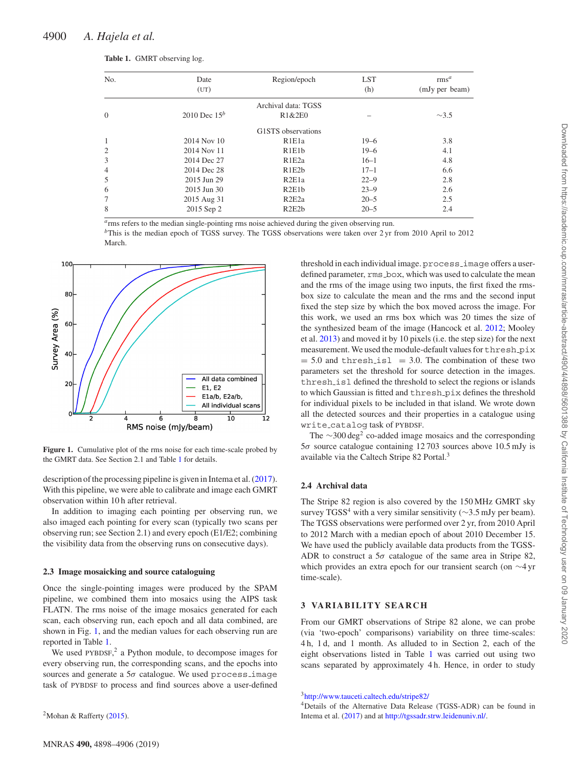March.

| No.            | Date<br>(UT)    | Region/epoch        | <b>LST</b><br>(h) | rms <sup>a</sup><br>(mJy per beam) |
|----------------|-----------------|---------------------|-------------------|------------------------------------|
|                |                 |                     |                   |                                    |
|                |                 | Archival data: TGSS |                   |                                    |
| $\overline{0}$ | 2010 Dec $15^b$ | R1&2E0              |                   | $\sim$ 3.5                         |
|                |                 | G1STS observations  |                   |                                    |
| 1              | 2014 Nov 10     | R <sub>1E1a</sub>   | $19 - 6$          | 3.8                                |
| $\overline{c}$ | 2014 Nov 11     | R1E1b               | $19 - 6$          | 4.1                                |
| 3              | 2014 Dec 27     | R1E2a               | $16 - 1$          | 4.8                                |
| 4              | 2014 Dec 28     | R1E2b               | $17 - 1$          | 6.6                                |
| 5              | 2015 Jun 29     | R2E1a               | $22 - 9$          | 2.8                                |
| 6              | 2015 Jun 30     | R2E1b               | $23 - 9$          | 2.6                                |
| 7              | 2015 Aug 31     | R2E2a               | $20 - 5$          | 2.5                                |
| 8              | 2015 Sep 2      | R2E2b               | $20 - 5$          | 2.4                                |

<span id="page-2-0"></span>**Table 1.** GMRT observing log.

*<sup>a</sup>*rms refers to the median single-pointing rms noise achieved during the given observing run.

*b*This is the median epoch of TGSS survey. The TGSS observations were taken over 2 yr from 2010 April to 2012

<span id="page-2-1"></span>

**Figure 1.** Cumulative plot of the rms noise for each time-scale probed by the GMRT data. See Section 2.1 and Table [1](#page-2-0) for details.

description of the processing pipeline is given in Intema et al. [\(2017\)](#page-8-24). With this pipeline, we were able to calibrate and image each GMRT observation within 10 h after retrieval.

In addition to imaging each pointing per observing run, we also imaged each pointing for every scan (typically two scans per observing run; see Section 2.1) and every epoch (E1/E2; combining the visibility data from the observing runs on consecutive days).

#### **2.3 Image mosaicking and source cataloguing**

Once the single-pointing images were produced by the SPAM pipeline, we combined them into mosaics using the AIPS task FLATN. The rms noise of the image mosaics generated for each scan, each observing run, each epoch and all data combined, are shown in Fig. [1,](#page-2-1) and the median values for each observing run are reported in Table [1.](#page-2-0)

We used PYBDSF, $<sup>2</sup>$  a Python module, to decompose images for</sup> every observing run, the corresponding scans, and the epochs into sources and generate a 5*σ* catalogue. We used process image task of PYBDSF to process and find sources above a user-defined

<sup>2</sup>Mohan & Rafferty  $(2015)$ .

threshold in each individual image. process\_image offers a userdefined parameter,  $rms\_box$ , which was used to calculate the mean and the rms of the image using two inputs, the first fixed the rmsbox size to calculate the mean and the rms and the second input fixed the step size by which the box moved across the image. For this work, we used an rms box which was 20 times the size of the synthesized beam of the image (Hancock et al. [2012;](#page-8-33) Mooley et al. [2013\)](#page-8-34) and moved it by 10 pixels (i.e. the step size) for the next measurement. We used the module-default values for thresh pix  $= 5.0$  and thresh isl  $= 3.0$ . The combination of these two parameters set the threshold for source detection in the images. thresh isl defined the threshold to select the regions or islands to which Gaussian is fitted and thresh pix defines the threshold for individual pixels to be included in that island. We wrote down all the detected sources and their properties in a catalogue using write catalog task of PYBDSF.

The  $\sim$ 300 deg<sup>2</sup> co-added image mosaics and the corresponding 5*σ* source catalogue containing 12 703 sources above 10.5 mJy is available via the Caltech Stripe 82 Portal.<sup>3</sup>

### **2.4 Archival data**

The Stripe 82 region is also covered by the 150 MHz GMRT sky survey TGSS<sup>4</sup> with a very similar sensitivity ( $\sim$ 3.5 mJy per beam). The TGSS observations were performed over 2 yr, from 2010 April to 2012 March with a median epoch of about 2010 December 15. We have used the publicly available data products from the TGSS-ADR to construct a  $5\sigma$  catalogue of the same area in Stripe 82, which provides an extra epoch for our transient search (on ∼4 yr time-scale).

#### **3 VARIABILITY SEARCH**

From our GMRT observations of Stripe 82 alone, we can probe (via 'two-epoch' comparisons) variability on three time-scales: 4 h, 1 d, and 1 month. As alluded to in Section 2, each of the eight observations listed in Table [1](#page-2-0) was carried out using two scans separated by approximately 4 h. Hence, in order to study

[3http://www.tauceti.caltech.edu/stripe82/](http://www.tauceti.caltech.edu/stripe82/)

4Details of the Alternative Data Release (TGSS-ADR) can be found in Intema et al. [\(2017\)](#page-8-24) and at [http://tgssadr.strw.leidenuniv.nl/.](http://tgssadr.strw.leidenuniv.nl/)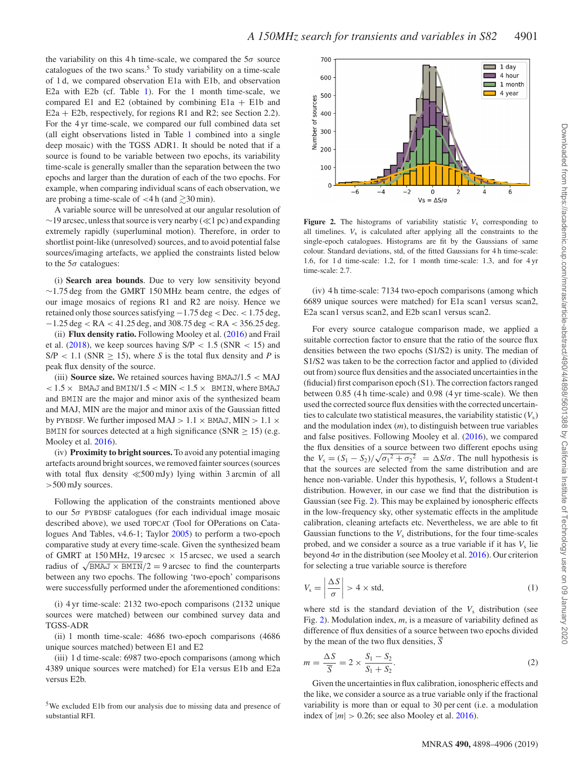the variability on this 4 h time-scale, we compared the  $5\sigma$  source catalogues of the two scans. $5$  To study variability on a time-scale of 1 d, we compared observation E1a with E1b, and observation E2a with E2b (cf. Table [1\)](#page-2-0). For the 1 month time-scale, we compared E1 and E2 (obtained by combining E1a + E1b and E2a + E2b, respectively, for regions R1 and R2; see Section 2.2). For the 4 yr time-scale, we compared our full combined data set (all eight observations listed in Table [1](#page-2-0) combined into a single deep mosaic) with the TGSS ADR1. It should be noted that if a source is found to be variable between two epochs, its variability time-scale is generally smaller than the separation between the two epochs and larger than the duration of each of the two epochs. For example, when comparing individual scans of each observation, we are probing a time-scale of  $\lt 4$  h (and  $\gtrsim 30$  min).

A variable source will be unresolved at our angular resolution of  $\sim$ 19 arcsec, unless that source is very nearby ( $\ll$ 1 pc) and expanding extremely rapidly (superluminal motion). Therefore, in order to shortlist point-like (unresolved) sources, and to avoid potential false sources/imaging artefacts, we applied the constraints listed below to the 5*σ* catalogues:

(i) **Search area bounds**. Due to very low sensitivity beyond ∼1.75 deg from the GMRT 150 MHz beam centre, the edges of our image mosaics of regions R1 and R2 are noisy. Hence we retained only those sources satisfying −1.75 deg *<* Dec. *<* 1.75 deg, −1.25 deg *<* RA *<* 41.25 deg, and 308.75 deg *<* RA *<* 356.25 deg. (ii) **Flux density ratio.** Following Mooley et al. [\(2016\)](#page-8-1) and Frail et al. [\(2018\)](#page-8-35), we keep sources having S/P *<* 1.5 (SNR *<* 15) and  $S/P < 1.1$  (SNR  $> 15$ ), where *S* is the total flux density and *P* is peak flux density of the source.

(iii) **Source size.** We retained sources having BMAJ/1.5 *<* MAJ  $<$  1.5  $\times$  BMAJ and BMIN/1.5  $<$  MIN  $<$  1.5  $\times$  BMIN, where BMAJ and BMIN are the major and minor axis of the synthesized beam and MAJ, MIN are the major and minor axis of the Gaussian fitted by PYBDSF. We further imposed MAJ  $> 1.1 \times$  BMAJ, MIN  $> 1.1 \times$ BMIN for sources detected at a high significance (SNR  $\geq$  15) (e.g. Mooley et al. [2016\)](#page-8-1).

(iv) **Proximity to bright sources.** To avoid any potential imaging artefacts around bright sources, we removed fainter sources (sources with total flux density  $\ll$  500 mJy) lying within 3 arcmin of all *>*500 mJy sources.

Following the application of the constraints mentioned above to our 5*σ* PYBDSF catalogues (for each individual image mosaic described above), we used TOPCAT (Tool for OPerations on Catalogues And Tables, v4.6-1; Taylor [2005\)](#page-8-36) to perform a two-epoch comparative study at every time-scale. Given the synthesized beam of GMRT at 150 MHz, 19 arcsec  $\times$  15 arcsec, we used a search radius of  $\sqrt{BMAJ \times BMIN}/2 = 9$  arcsec to find the counterparts between any two epochs. The following 'two-epoch' comparisons were successfully performed under the aforementioned conditions:

(i) 4 yr time-scale: 2132 two-epoch comparisons (2132 unique sources were matched) between our combined survey data and TGSS-ADR

(ii) 1 month time-scale: 4686 two-epoch comparisons (4686 unique sources matched) between E1 and E2

(iii) 1 d time-scale: 6987 two-epoch comparisons (among which 4389 unique sources were matched) for E1a versus E1b and E2a versus E2b.

<sup>5</sup>We excluded E1b from our analysis due to missing data and presence of substantial RFI.

<span id="page-3-0"></span>

**Figure 2.** The histograms of variability statistic  $V_s$  corresponding to all timelines. *V*<sup>s</sup> is calculated after applying all the constraints to the single-epoch catalogues. Histograms are fit by the Gaussians of same colour. Standard deviations, std, of the fitted Gaussians for 4 h time-scale: 1.6, for 1 d time-scale: 1.2, for 1 month time-scale: 1.3, and for 4 yr time-scale: 2.7.

(iv) 4 h time-scale: 7134 two-epoch comparisons (among which 6689 unique sources were matched) for E1a scan1 versus scan2, E2a scan1 versus scan2, and E2b scan1 versus scan2.

For every source catalogue comparison made, we applied a suitable correction factor to ensure that the ratio of the source flux densities between the two epochs (S1/S2) is unity. The median of S1/S2 was taken to be the correction factor and applied to (divided out from) source flux densities and the associated uncertainties in the (fiducial) first comparison epoch (S1). The correction factors ranged between 0.85 (4 h time-scale) and 0.98 (4 yr time-scale). We then used the corrected source flux densities with the corrected uncertainties to calculate two statistical measures, the variability statistic  $(V_s)$ and the modulation index (*m*), to distinguish between true variables and false positives. Following Mooley et al. [\(2016\)](#page-8-1), we compared the flux densities of a source between two different epochs using the  $V_s = (S_1 - S_2)/\sqrt{{\sigma_1}^2 + {\sigma_2}^2} = \Delta S/\sigma$ . The null hypothesis is that the sources are selected from the same distribution and are hence non-variable. Under this hypothesis,  $V_s$  follows a Student-t distribution. However, in our case we find that the distribution is Gaussian (see Fig. [2\)](#page-3-0). This may be explained by ionospheric effects in the low-frequency sky, other systematic effects in the amplitude calibration, cleaning artefacts etc. Nevertheless, we are able to fit Gaussian functions to the  $V_s$  distributions, for the four time-scales probed, and we consider a source as a true variable if it has  $V<sub>s</sub>$  lie beyond 4*σ* in the distribution (see Mooley et al. [2016\)](#page-8-1). Our criterion for selecting a true variable source is therefore

$$
V_s = \left| \frac{\Delta S}{\sigma} \right| > 4 \times \text{std},\tag{1}
$$

where std is the standard deviation of the  $V<sub>s</sub>$  distribution (see Fig. [2\)](#page-3-0). Modulation index, *m*, is a measure of variability defined as difference of flux densities of a source between two epochs divided by the mean of the two flux densities, *S*

$$
m = \frac{\Delta S}{\overline{S}} = 2 \times \frac{S_1 - S_2}{S_1 + S_2}.
$$
\n<sup>(2)</sup>

Given the uncertainties in flux calibration, ionospheric effects and the like, we consider a source as a true variable only if the fractional variability is more than or equal to 30 per cent (i.e. a modulation index of  $|m| > 0.26$ ; see also Mooley et al. [2016\)](#page-8-1).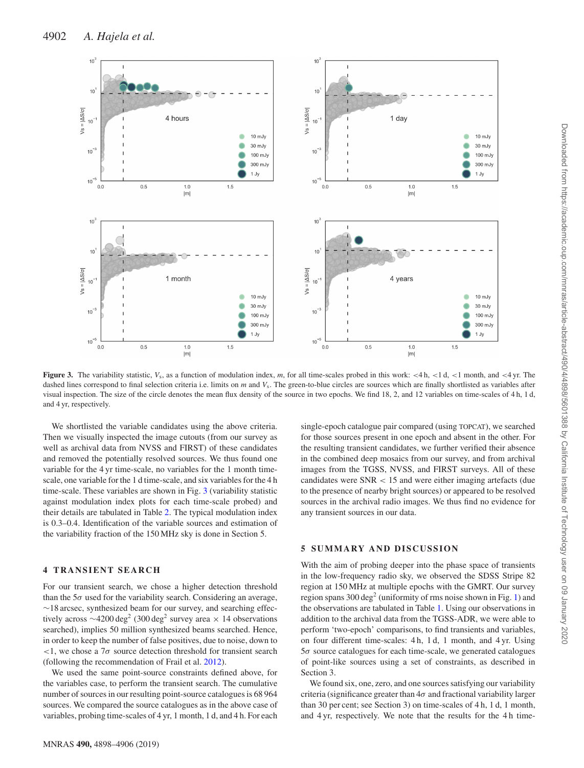<span id="page-4-0"></span>

**Figure 3.** The variability statistic, *V*s, as a function of modulation index, *m*, for all time-scales probed in this work: *<*4 h, *<*1 d, *<*1 month, and *<*4 yr. The dashed lines correspond to final selection criteria i.e. limits on *m* and *V<sub>s</sub>*. The green-to-blue circles are sources which are finally shortlisted as variables after visual inspection. The size of the circle denotes the mean flux density of the source in two epochs. We find 18, 2, and 12 variables on time-scales of 4 h, 1 d, and 4 yr, respectively.

We shortlisted the variable candidates using the above criteria. Then we visually inspected the image cutouts (from our survey as well as archival data from NVSS and FIRST) of these candidates and removed the potentially resolved sources. We thus found one variable for the 4 yr time-scale, no variables for the 1 month timescale, one variable for the 1 d time-scale, and six variables for the 4 h time-scale. These variables are shown in Fig. [3](#page-4-0) (variability statistic against modulation index plots for each time-scale probed) and their details are tabulated in Table [2.](#page-5-0) The typical modulation index is 0.3–0.4. Identification of the variable sources and estimation of the variability fraction of the 150 MHz sky is done in Section 5.

## **4 TRANSIENT SEARCH**

For our transient search, we chose a higher detection threshold than the  $5\sigma$  used for the variability search. Considering an average, ∼18 arcsec, synthesized beam for our survey, and searching effectively across  $\sim$ 4200 deg<sup>2</sup> (300 deg<sup>2</sup> survey area × 14 observations searched), implies 50 million synthesized beams searched. Hence, in order to keep the number of false positives, due to noise, down to *<*1, we chose a 7*σ* source detection threshold for transient search (following the recommendation of Frail et al. [2012\)](#page-8-0).

We used the same point-source constraints defined above, for the variables case, to perform the transient search. The cumulative number of sources in our resulting point-source catalogues is 68 964 sources. We compared the source catalogues as in the above case of variables, probing time-scales of 4 yr, 1 month, 1 d, and 4 h. For each

single-epoch catalogue pair compared (using TOPCAT), we searched for those sources present in one epoch and absent in the other. For the resulting transient candidates, we further verified their absence in the combined deep mosaics from our survey, and from archival images from the TGSS, NVSS, and FIRST surveys. All of these candidates were SNR *<* 15 and were either imaging artefacts (due to the presence of nearby bright sources) or appeared to be resolved sources in the archival radio images. We thus find no evidence for any transient sources in our data.

## **5 SUMMARY AND DISCUSSION**

With the aim of probing deeper into the phase space of transients in the low-frequency radio sky, we observed the SDSS Stripe 82 region at 150 MHz at multiple epochs with the GMRT. Our survey region spans  $300 \text{ deg}^2$  (uniformity of rms noise shown in Fig. [1\)](#page-2-1) and the observations are tabulated in Table [1.](#page-2-0) Using our observations in addition to the archival data from the TGSS-ADR, we were able to perform 'two-epoch' comparisons, to find transients and variables, on four different time-scales: 4 h, 1 d, 1 month, and 4 yr. Using 5*σ* source catalogues for each time-scale, we generated catalogues of point-like sources using a set of constraints, as described in Section 3.

We found six, one, zero, and one sources satisfying our variability criteria (significance greater than 4*σ* and fractional variability larger than 30 per cent; see Section 3) on time-scales of 4 h, 1 d, 1 month, and 4 yr, respectively. We note that the results for the 4 h time-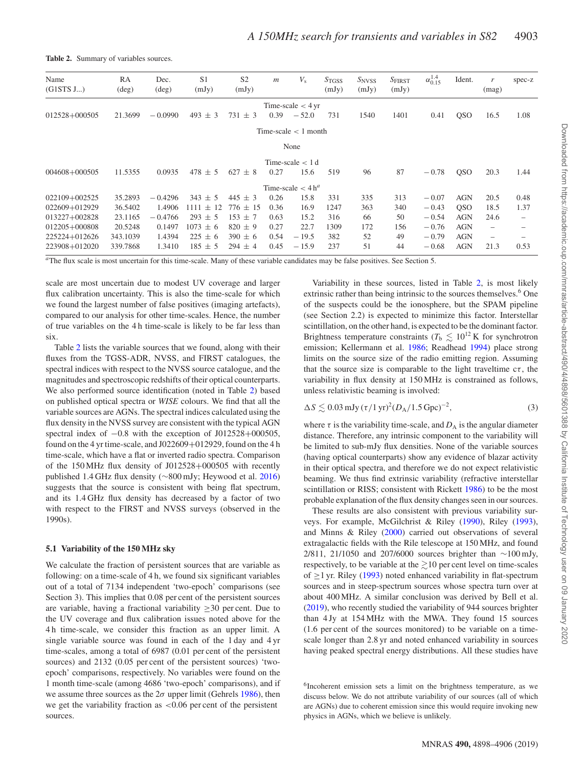| Name<br>(G1STS J) | RA<br>$(\text{deg})$ | Dec.<br>$(\text{deg})$ | S <sub>1</sub><br>(mJy) | S <sub>2</sub><br>(mJy) | $\mathfrak{m}$ | $V_{\rm s}$                       | S <sub>TGSS</sub><br>(mJy) | $S_{NVSS}$<br>(mJy) | S <sub>FIRST</sub><br>(mJy) | $\alpha_{0.15}^{1.4}$ | Ident.         | r<br>(mag)               | spec-z          |
|-------------------|----------------------|------------------------|-------------------------|-------------------------|----------------|-----------------------------------|----------------------------|---------------------|-----------------------------|-----------------------|----------------|--------------------------|-----------------|
|                   |                      |                        |                         |                         |                | Time-scale $<$ 4 yr               |                            |                     |                             |                       |                |                          |                 |
| 012528+000505     | 21.3699              | $-0.0990$              | $493 \pm 3$             | 731<br>±3               | 0.39           | $-52.0$                           | 731                        | 1540                | 1401                        | 0.41                  | <b>QSO</b>     | 16.5                     | 1.08            |
|                   |                      |                        |                         |                         |                | Time-scale $\lt$ 1 month          |                            |                     |                             |                       |                |                          |                 |
|                   |                      |                        |                         |                         |                | None                              |                            |                     |                             |                       |                |                          |                 |
|                   |                      |                        |                         |                         |                | Time-scale $< 1d$                 |                            |                     |                             |                       |                |                          |                 |
| 004608+000505     | 11.5355              | 0.0935                 | $478 \pm 5$             | $627 \pm 8$             | 0.27           | 15.6                              | 519                        | 96                  | 87                          | $-0.78$               | <sub>OSO</sub> | 20.3                     | 1.44            |
|                   |                      |                        |                         |                         |                | Time-scale $\lt 4$ h <sup>a</sup> |                            |                     |                             |                       |                |                          |                 |
| 022109+002525     | 35.2893              | $-0.4296$              | $343 \pm 5$             | $445 \pm 3$             | 0.26           | 15.8                              | 331                        | 335                 | 313                         | $-0.07$               | <b>AGN</b>     | 20.5                     | 0.48            |
| 022609+012929     | 36.5402              | 1.4906                 | 1111<br>$+12$           | $776 \pm 15$            | 0.36           | 16.9                              | 1247                       | 363                 | 340                         | $-0.43$               | <sub>OSO</sub> | 18.5                     | 1.37            |
| 013227+002828     | 23.1165              | $-0.4766$              | $293 \pm 5$             | $153 + 7$               | 0.63           | 15.2                              | 316                        | 66                  | 50                          | $-0.54$               | <b>AGN</b>     | 24.6                     | $\qquad \qquad$ |
| 012205+000808     | 20.5248              | 0.1497                 | $1073 \pm 6$            | $820 \pm 9$             | 0.27           | 22.7                              | 1309                       | 172                 | 156                         | $-0.76$               | <b>AGN</b>     | $\overline{\phantom{0}}$ |                 |
| 225224+012626     | 343.1039             | 1.4394                 | $225 \pm 6$             | $390 \pm 6$             | 0.54           | $-19.5$                           | 382                        | 52                  | 49                          | $-0.79$               | <b>AGN</b>     | $\qquad \qquad -$        |                 |
| 223908+012020     | 339.7868             | 1.3410                 | $185 \pm 5$             | $294 \pm 4$             | 0.45           | $-15.9$                           | 237                        | 51                  | 44                          | $-0.68$               | <b>AGN</b>     | 21.3                     | 0.53            |
|                   |                      |                        |                         |                         |                |                                   |                            |                     |                             |                       |                |                          |                 |

<span id="page-5-0"></span>**Table 2.** Summary of variables sources.

*<sup>a</sup>*The flux scale is most uncertain for this time-scale. Many of these variable candidates may be false positives. See Section 5.

scale are most uncertain due to modest UV coverage and larger flux calibration uncertainty. This is also the time-scale for which we found the largest number of false positives (imaging artefacts), compared to our analysis for other time-scales. Hence, the number of true variables on the 4 h time-scale is likely to be far less than six.

Table [2](#page-5-0) lists the variable sources that we found, along with their fluxes from the TGSS-ADR, NVSS, and FIRST catalogues, the spectral indices with respect to the NVSS source catalogue, and the magnitudes and spectroscopic redshifts of their optical counterparts. We also performed source identification (noted in Table [2\)](#page-5-0) based on published optical spectra or *WISE* colours. We find that all the variable sources are AGNs. The spectral indices calculated using the flux density in the NVSS survey are consistent with the typical AGN spectral index of  $-0.8$  with the exception of J012528+000505, found on the 4 yr time-scale, and J022609+012929, found on the 4 h time-scale, which have a flat or inverted radio spectra. Comparison of the 150 MHz flux density of J012528+000505 with recently published 1.4 GHz flux density (∼800 mJy; Heywood et al. [2016\)](#page-8-37) suggests that the source is consistent with being flat spectrum, and its 1.4 GHz flux density has decreased by a factor of two with respect to the FIRST and NVSS surveys (observed in the 1990s).

#### **5.1 Variability of the 150 MHz sky**

We calculate the fraction of persistent sources that are variable as following: on a time-scale of 4 h, we found six significant variables out of a total of 7134 independent 'two-epoch' comparisons (see Section 3). This implies that 0.08 per cent of the persistent sources are variable, having a fractional variability  $\geq 30$  per cent. Due to the UV coverage and flux calibration issues noted above for the 4 h time-scale, we consider this fraction as an upper limit. A single variable source was found in each of the 1 day and 4 yr time-scales, among a total of 6987 (0.01 per cent of the persistent sources) and 2132 (0.05 per cent of the persistent sources) 'twoepoch' comparisons, respectively. No variables were found on the 1 month time-scale (among 4686 'two-epoch' comparisons), and if we assume three sources as the  $2\sigma$  upper limit (Gehrels [1986\)](#page-8-38), then we get the variability fraction as *<*0.06 per cent of the persistent sources.

Variability in these sources, listed in Table [2,](#page-5-0) is most likely extrinsic rather than being intrinsic to the sources themselves.<sup>6</sup> One of the suspects could be the ionosphere, but the SPAM pipeline (see Section 2.2) is expected to minimize this factor. Interstellar scintillation, on the other hand, is expected to be the dominant factor. Brightness temperature constraints ( $T<sub>b</sub> \leq 10^{12}$  K for synchrotron emission; Kellermann et al. [1986;](#page-8-39) Readhead [1994\)](#page-8-40) place strong limits on the source size of the radio emitting region. Assuming that the source size is comparable to the light traveltime  $c\tau$ , the variability in flux density at 150 MHz is constrained as follows, unless relativistic beaming is involved:

|  |  |  |  | $\Delta S \lesssim 0.03$ mJy $(\tau/1 \text{ yr})^2 (D_A/1.5 \text{ Gpc})^{-2}$ , |  | (3) |  |
|--|--|--|--|-----------------------------------------------------------------------------------|--|-----|--|
|--|--|--|--|-----------------------------------------------------------------------------------|--|-----|--|

where  $\tau$  is the variability time-scale, and  $D_A$  is the angular diameter distance. Therefore, any intrinsic component to the variability will be limited to sub-mJy flux densities. None of the variable sources (having optical counterparts) show any evidence of blazar activity in their optical spectra, and therefore we do not expect relativistic beaming. We thus find extrinsic variability (refractive interstellar scintillation or RISS; consistent with Rickett [1986\)](#page-8-28) to be the most probable explanation of the flux density changes seen in our sources.

These results are also consistent with previous variability surveys. For example, McGilchrist & Riley [\(1990\)](#page-8-41), Riley [\(1993\)](#page-8-42), and Minns & Riley [\(2000\)](#page-8-43) carried out observations of several extragalactic fields with the Rile telescope at 150 MHz, and found 2/811, 21/1050 and 207/6000 sources brighter than ∼100 mJy, respectively, to be variable at the  $\gtrsim$  10 per cent level on time-scales of  $\geq$ 1 yr. Riley [\(1993\)](#page-8-42) noted enhanced variability in flat-spectrum sources and in steep-spectrum sources whose spectra turn over at about 400 MHz. A similar conclusion was derived by Bell et al. [\(2019\)](#page-8-44), who recently studied the variability of 944 sources brighter than 4 Jy at 154 MHz with the MWA. They found 15 sources (1.6 per cent of the sources monitored) to be variable on a timescale longer than 2.8 yr and noted enhanced variability in sources having peaked spectral energy distributions. All these studies have

<sup>6</sup>Incoherent emission sets a limit on the brightness temperature, as we discuss below. We do not attribute variability of our sources (all of which are AGNs) due to coherent emission since this would require invoking new physics in AGNs, which we believe is unlikely.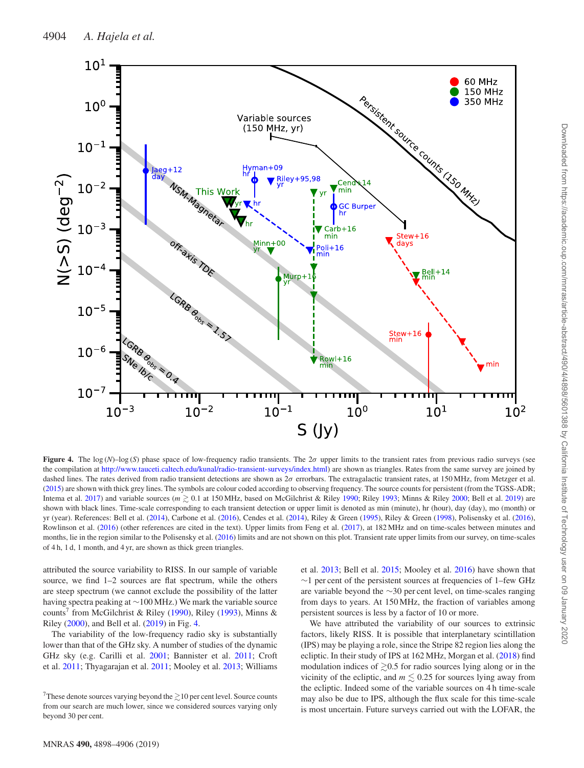<span id="page-6-0"></span>

**Figure 4.** The log (*N*)–log (*S*) phase space of low-frequency radio transients. The  $2\sigma$  upper limits to the transient rates from previous radio surveys (see the compilation at [http://www.tauceti.caltech.edu/kunal/radio-transient-surveys/index.html\)](http://www.tauceti.caltech.edu/kunal/radio-transient-surveys/index.html) are shown as triangles. Rates from the same survey are joined by dashed lines. The rates derived from radio transient detections are shown as 2*σ* errorbars. The extragalactic transient rates, at 150 MHz, from Metzger et al. [\(2015\)](#page-8-27) are shown with thick grey lines. The symbols are colour coded according to observing frequency. The source counts for persistent (from the TGSS-ADR; Intema et al. [2017\)](#page-8-24) and variable sources ( $m \gtrsim 0.1$  at 150 MHz, based on McGilchrist & Riley [1990;](#page-8-41) Riley [1993;](#page-8-42) Minns & Riley [2000;](#page-8-43) Bell et al. [2019\)](#page-8-44) are shown with black lines. Time-scale corresponding to each transient detection or upper limit is denoted as min (minute), hr (hour), day (day), mo (month) or yr (year). References: Bell et al. [\(2014\)](#page-8-45), Carbone et al. [\(2016\)](#page-8-46), Cendes et al. [\(2014\)](#page-8-47), Riley & Green [\(1995\)](#page-8-48), Riley & Green [\(1998\)](#page-8-49), Polisensky et al. [\(2016\)](#page-8-19), Rowlinson et al. [\(2016\)](#page-8-50) (other references are cited in the text). Upper limits from Feng et al. [\(2017\)](#page-8-51), at 182 MHz and on time-scales between minutes and months, lie in the region similar to the Polisensky et al. [\(2016\)](#page-8-19) limits and are not shown on this plot. Transient rate upper limits from our survey, on time-scales of 4 h, 1 d, 1 month, and 4 yr, are shown as thick green triangles.

attributed the source variability to RISS. In our sample of variable source, we find 1–2 sources are flat spectrum, while the others are steep spectrum (we cannot exclude the possibility of the latter having spectra peaking at ∼100 MHz.) We mark the variable source counts<sup>7</sup> from McGilchrist & Riley [\(1990\)](#page-8-41), Riley [\(1993\)](#page-8-42), Minns & Riley [\(2000\)](#page-8-43), and Bell et al. [\(2019\)](#page-8-44) in Fig. [4.](#page-6-0)

The variability of the low-frequency radio sky is substantially lower than that of the GHz sky. A number of studies of the dynamic GHz sky (e.g. Carilli et al. [2001;](#page-8-52) Bannister et al. [2011;](#page-8-6) Croft et al. [2011;](#page-8-53) Thyagarajan et al. [2011;](#page-8-8) Mooley et al. [2013;](#page-8-34) Williams

et al. [2013;](#page-8-9) Bell et al. [2015;](#page-8-10) Mooley et al. [2016\)](#page-8-1) have shown that ∼1 per cent of the persistent sources at frequencies of 1–few GHz are variable beyond the ∼30 per cent level, on time-scales ranging from days to years. At 150 MHz, the fraction of variables among persistent sources is less by a factor of 10 or more.

We have attributed the variability of our sources to extrinsic factors, likely RISS. It is possible that interplanetary scintillation (IPS) may be playing a role, since the Stripe 82 region lies along the ecliptic. In their study of IPS at 162 MHz, Morgan et al. [\(2018\)](#page-8-30) find modulation indices of  $\gtrsim 0.5$  for radio sources lying along or in the vicinity of the ecliptic, and  $m \lesssim 0.25$  for sources lying away from the ecliptic. Indeed some of the variable sources on 4 h time-scale may also be due to IPS, although the flux scale for this time-scale is most uncertain. Future surveys carried out with the LOFAR, the

<sup>&</sup>lt;sup>7</sup>These denote sources varying beyond the  $\gtrsim$  10 per cent level. Source counts from our search are much lower, since we considered sources varying only beyond 30 per cent.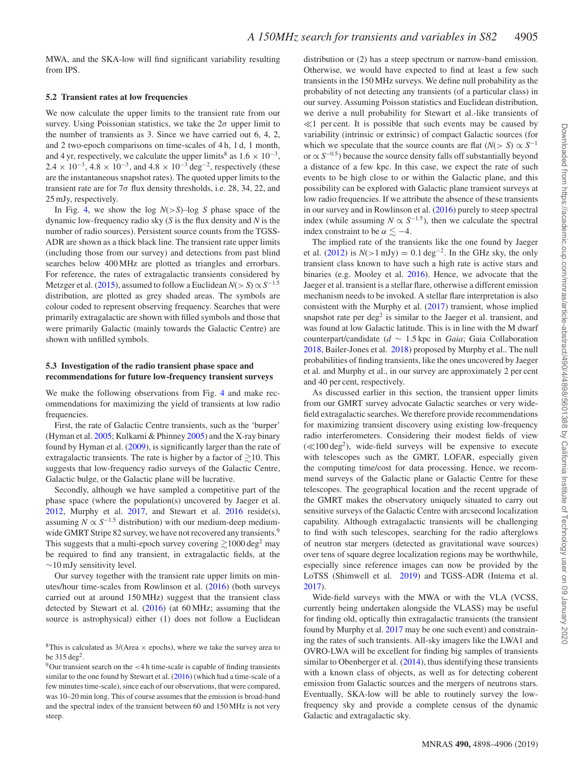MWA, and the SKA-low will find significant variability resulting from IPS.

#### **5.2 Transient rates at low frequencies**

We now calculate the upper limits to the transient rate from our survey. Using Poissonian statistics, we take the  $2\sigma$  upper limit to the number of transients as 3. Since we have carried out 6, 4, 2, and 2 two-epoch comparisons on time-scales of 4 h, 1 d, 1 month, and 4 yr, respectively, we calculate the upper limits<sup>8</sup> as  $1.6 \times 10^{-3}$ ,  $2.4 \times 10^{-3}$ ,  $4.8 \times 10^{-3}$ , and  $4.8 \times 10^{-3}$  deg<sup>-2</sup>, respectively (these are the instantaneous snapshot rates). The quoted upper limits to the transient rate are for 7*σ* flux density thresholds, i.e. 28, 34, 22, and 25 mJy, respectively.

In Fig. [4,](#page-6-0) we show the log *N*(*>S*)–log *S* phase space of the dynamic low-frequency radio sky (*S* is the flux density and *N* is the number of radio sources). Persistent source counts from the TGSS-ADR are shown as a thick black line. The transient rate upper limits (including those from our survey) and detections from past blind searches below 400 MHz are plotted as triangles and errorbars. For reference, the rates of extragalactic transients considered by Metzger et al. [\(2015\)](#page-8-27), assumed to follow a Euclidean  $N(> S) \propto S^{-1.5}$ distribution, are plotted as grey shaded areas. The symbols are colour coded to represent observing frequency. Searches that were primarily extragalactic are shown with filled symbols and those that were primarily Galactic (mainly towards the Galactic Centre) are shown with unfilled symbols.

#### **5.3 Investigation of the radio transient phase space and recommendations for future low-frequency transient surveys**

We make the following observations from Fig. [4](#page-6-0) and make recommendations for maximizing the yield of transients at low radio frequencies.

First, the rate of Galactic Centre transients, such as the 'burper' (Hyman et al. [2005;](#page-8-15) Kulkarni & Phinney [2005\)](#page-8-54) and the X-ray binary found by Hyman et al. [\(2009\)](#page-8-17), is significantly larger than the rate of extragalactic transients. The rate is higher by a factor of  $\gtrsim$  10. This suggests that low-frequency radio surveys of the Galactic Centre, Galactic bulge, or the Galactic plane will be lucrative.

Secondly, although we have sampled a competitive part of the phase space (where the population(s) uncovered by Jaeger et al. [2012,](#page-8-20) Murphy et al. [2017,](#page-8-23) and Stewart et al. [2016](#page-8-21) reside(s), assuming  $N \propto S^{-1.5}$  distribution) with our medium-deep mediumwide GMRT Stripe 82 survey, we have not recovered any transients.<sup>9</sup> This suggests that a multi-epoch survey covering  $\gtrsim$  1000 deg<sup>2</sup> may be required to find any transient, in extragalactic fields, at the ∼10 mJy sensitivity level.

Our survey together with the transient rate upper limits on minutes/hour time-scales from Rowlinson et al. [\(2016\)](#page-8-50) (both surveys carried out at around 150 MHz) suggest that the transient class detected by Stewart et al. [\(2016\)](#page-8-21) (at 60 MHz; assuming that the source is astrophysical) either (1) does not follow a Euclidean

9Our transient search on the *<*4 h time-scale is capable of finding transients similar to the one found by Stewart et al. [\(2016\)](#page-8-21) (which had a time-scale of a few minutes time-scale), since each of our observations, that were compared, was 10–20 min long. This of course assumes that the emission is broad-band and the spectral index of the transient between 60 and 150 MHz is not very steep.

distribution or (2) has a steep spectrum or narrow-band emission. Otherwise, we would have expected to find at least a few such transients in the 150 MHz surveys. We define null probability as the probability of not detecting any transients (of a particular class) in our survey. Assuming Poisson statistics and Euclidean distribution, we derive a null probability for Stewart et al.-like transients of  $\ll$ 1 per cent. It is possible that such events may be caused by variability (intrinsic or extrinsic) of compact Galactic sources (for which we speculate that the source counts are flat  $(N > S) \propto S^{-1}$ or <sup>∝</sup> *<sup>S</sup>*−0.5) because the source density falls off substantially beyond a distance of a few kpc. In this case, we expect the rate of such events to be high close to or within the Galactic plane, and this possibility can be explored with Galactic plane transient surveys at low radio frequencies. If we attribute the absence of these transients in our survey and in Rowlinson et al. [\(2016\)](#page-8-50) purely to steep spectral index (while assuming  $N \propto S^{-1.5}$ ), then we calculate the spectral index constraint to be  $\alpha \leq -4$ .

The implied rate of the transients like the one found by Jaeger et al.  $(2012)$  is  $N(>1 \text{ mJy}) = 0.1 \text{ deg}^{-2}$ . In the GHz sky, the only transient class known to have such a high rate is active stars and binaries (e.g. Mooley et al. [2016\)](#page-8-1). Hence, we advocate that the Jaeger et al. transient is a stellar flare, otherwise a different emission mechanism needs to be invoked. A stellar flare interpretation is also consistent with the Murphy et al. [\(2017\)](#page-8-23) transient, whose implied snapshot rate per  $\text{deg}^2$  is similar to the Jaeger et al. transient, and was found at low Galactic latitude. This is in line with the M dwarf counterpart/candidate (*d* ∼ 1.5 kpc in *Gaia*; Gaia Collaboration [2018,](#page-8-55) Bailer-Jones et al. [2018\)](#page-8-56) proposed by Murphy et al.. The null probabilities of finding transients, like the ones uncovered by Jaeger et al. and Murphy et al., in our survey are approximately 2 per cent and 40 per cent, respectively.

As discussed earlier in this section, the transient upper limits from our GMRT survey advocate Galactic searches or very widefield extragalactic searches. We therefore provide recommendations for maximizing transient discovery using existing low-frequency radio interferometers. Considering their modest fields of view  $(\ll 100 \text{ deg}^2)$ , wide-field surveys will be expensive to execute with telescopes such as the GMRT, LOFAR, especially given the computing time/cost for data processing. Hence, we recommend surveys of the Galactic plane or Galactic Centre for these telescopes. The geographical location and the recent upgrade of the GMRT makes the observatory uniquely situated to carry out sensitive surveys of the Galactic Centre with arcsecond localization capability. Although extragalactic transients will be challenging to find with such telescopes, searching for the radio afterglows of neutron star mergers (detected as gravitational wave sources) over tens of square degree localization regions may be worthwhile, especially since reference images can now be provided by the LoTSS (Shimwell et al. [2019\)](#page-8-57) and TGSS-ADR (Intema et al. [2017\)](#page-8-24).

Wide-field surveys with the MWA or with the VLA (VCSS, currently being undertaken alongside the VLASS) may be useful for finding old, optically thin extragalactic transients (the transient found by Murphy et al. [2017](#page-8-23) may be one such event) and constraining the rates of such transients. All-sky imagers like the LWA1 and OVRO-LWA will be excellent for finding big samples of transients similar to Obenberger et al.  $(2014)$ , thus identifying these transients with a known class of objects, as well as for detecting coherent emission from Galactic sources and the mergers of neutrons stars. Eventually, SKA-low will be able to routinely survey the lowfrequency sky and provide a complete census of the dynamic Galactic and extragalactic sky.

<sup>&</sup>lt;sup>8</sup>This is calculated as  $3/(Area \times epochs)$ , where we take the survey area to be  $315 \text{ deg}^2$ .